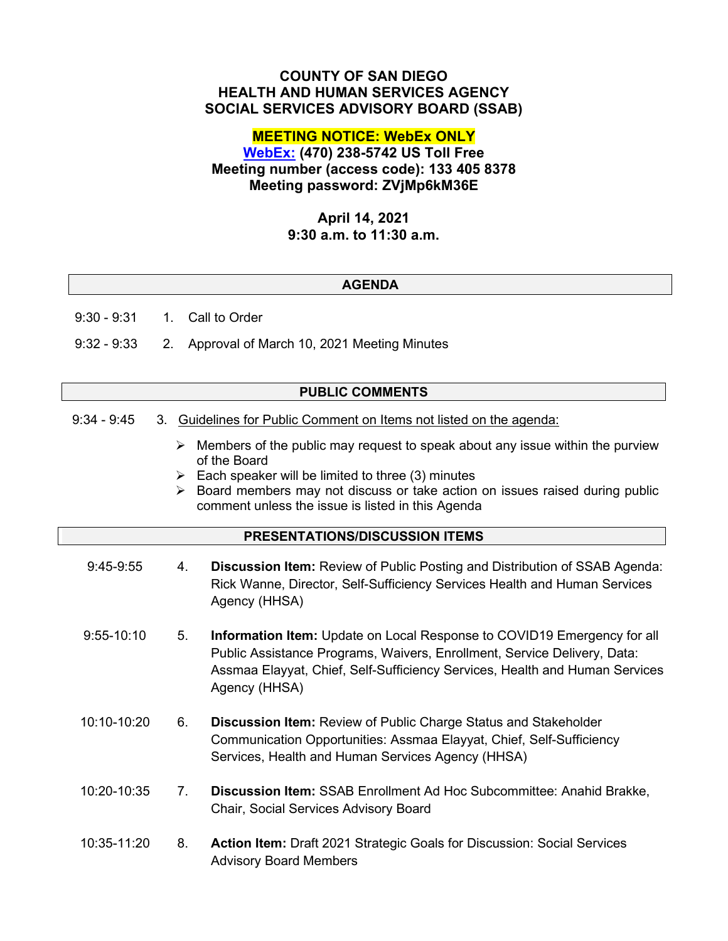# **COUNTY OF SAN DIEGO HEALTH AND HUMAN SERVICES AGENCY SOCIAL SERVICES ADVISORY BOARD (SSAB)**

# **MEETING NOTICE: WebEx ONLY**

**[WebEx:](https://sdcountyca.webex.com/sdcountyca/j.php?MTID=m664f03bcae0a9456c537ccf6a965ece5) (470) 238-5742 US Toll Free Meeting number (access code): 133 405 8378 Meeting password: ZVjMp6kM36E**

# **April 14, 2021 9:30 a.m. to 11:30 a.m.**

### **AGENDA**

9:30 - 9:31 1. Call to Order

9:32 - 9:33 2. Approval of March 10, 2021 Meeting Minutes

#### **PUBLIC COMMENTS**

- 9:34 9:45 3. Guidelines for Public Comment on Items not listed on the agenda:
	- $\triangleright$  Members of the public may request to speak about any issue within the purview of the Board
	- $\triangleright$  Each speaker will be limited to three (3) minutes
	- $\triangleright$  Board members may not discuss or take action on issues raised during public comment unless the issue is listed in this Agenda

### **PRESENTATIONS/DISCUSSION ITEMS**

| 9:45-9:55      | 4. | Discussion Item: Review of Public Posting and Distribution of SSAB Agenda:<br>Rick Wanne, Director, Self-Sufficiency Services Health and Human Services<br>Agency (HHSA)                                                                                   |
|----------------|----|------------------------------------------------------------------------------------------------------------------------------------------------------------------------------------------------------------------------------------------------------------|
| $9:55 - 10:10$ | 5. | <b>Information Item:</b> Update on Local Response to COVID19 Emergency for all<br>Public Assistance Programs, Waivers, Enrollment, Service Delivery, Data:<br>Assmaa Elayyat, Chief, Self-Sufficiency Services, Health and Human Services<br>Agency (HHSA) |
| 10:10-10:20    | 6. | <b>Discussion Item: Review of Public Charge Status and Stakeholder</b><br>Communication Opportunities: Assmaa Elayyat, Chief, Self-Sufficiency<br>Services, Health and Human Services Agency (HHSA)                                                        |
| 10:20-10:35    | 7. | Discussion Item: SSAB Enrollment Ad Hoc Subcommittee: Anahid Brakke,<br>Chair, Social Services Advisory Board                                                                                                                                              |
| 10:35-11:20    | 8. | <b>Action Item: Draft 2021 Strategic Goals for Discussion: Social Services</b><br><b>Advisory Board Members</b>                                                                                                                                            |